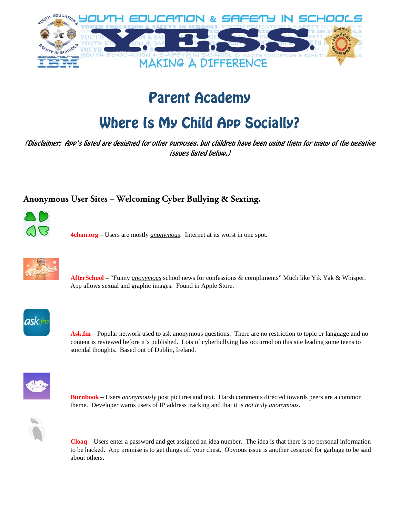

# Parent Academy

# Where Is My Child App Socially?

(Disclaimer: App's listed are designed for other purposes, but children have been using them for many of the negative issues listed below.)

# **Anonymous User Sites – Welcoming Cyber Bullying & Sexting.**



**4chan.org** – Users are mostly *anonymous*. Internet at its worst in one spot.



 **AfterSchool** – "Funny *anonymous* school news for confessions & compliments" Much like Yik Yak & Whisper. App allows sexual and graphic images. Found in Apple Store.



Ask.fm – Popular network used to ask anonymous questions. There are no restriction to topic or language and no content is reviewed before it's published. Lots of cyberbullying has occurred on this site leading some teens to suicidal thoughts. Based out of Dublin, Ireland.



**Burnbook** – Users *anonymously* post pictures and text. Harsh comments directed towards peers are a common theme. Developer warns users of IP address tracking and that it is *not truly anonymous*.



**Cloaq** – Users enter a password and get assigned an idea number. The idea is that there is no personal information to be hacked. App premise is to get things off your chest. Obvious issue is another cesspool for garbage to be said about others.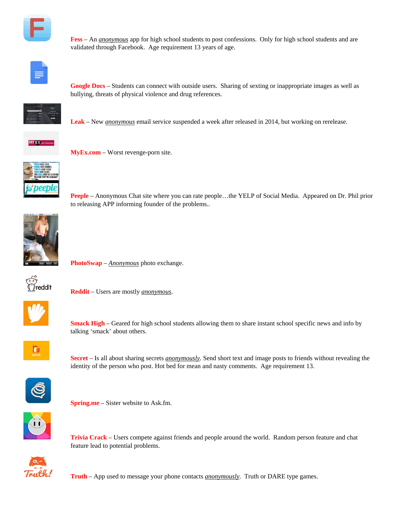

**Fess** – An *anonymous* app for high school students to post confessions. Only for high school students and are validated through Facebook. Age requirement 13 years of age.



**Google Docs** – Students can connect with outside users. Sharing of sexting or inappropriate images as well as bullying, threats of physical violence and drug references.



**Leak** – New *anonymous* email service suspended a week after released in 2014, but working on rerelease.



**MyEx.com** – Worst revenge-porn site.



**Peeple** – Anonymous Chat site where you can rate people...the YELP of Social Media. Appeared on Dr. Phil prior to releasing APP informing founder of the problems..



**PhotoSwap** – *Anonymous* photo exchange.



**Reddit** – Users are mostly *anonymous*.



**Smack High** – Geared for high school students allowing them to share instant school specific news and info by talking 'smack' about others.



**Secret** – Is all about sharing secrets *anonymously*. Send short text and image posts to friends without revealing the identity of the person who post. Hot bed for mean and nasty comments. Age requirement 13.



**Spring.me** – Sister website to Ask.fm.



**Trivia Crack** – Users compete against friends and people around the world. Random person feature and chat feature lead to potential problems.



**Truth** – App used to message your phone contacts *anonymously*. Truth or DARE type games.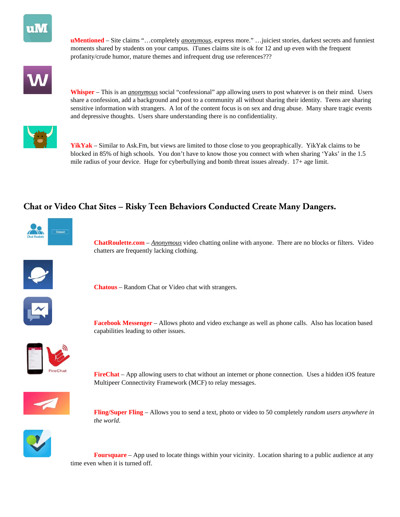

**uMentioned** – Site claims "…completely *anonymous*, express more." …juiciest stories, darkest secrets and funniest moments shared by students on your campus. iTunes claims site is ok for 12 and up even with the frequent profanity/crude humor, mature themes and infrequent drug use references???



**Whisper** – This is an *anonymous* social "confessional" app allowing users to post whatever is on their mind. Users share a confession, add a background and post to a community all without sharing their identity. Teens are sharing sensitive information with strangers. A lot of the content focus is on sex and drug abuse. Many share tragic events and depressive thoughts. Users share understanding there is no confidentiality.



**YikYak** – Similar to Ask.Fm, but views are limited to those close to you geopraphically. YikYak claims to be blocked in 85% of high schools. You don't have to know those you connect with when sharing 'Yaks' in the 1.5 mile radius of your device. Huge for cyberbullying and bomb threat issues already. 17+ age limit.

# **Chat or Video Chat Sites – Risky Teen Behaviors Conducted Create Many Dangers.**



**ChatRoulette.com** – *Anonymous* video chatting online with anyone. There are no blocks or filters. Video chatters are frequently lacking clothing.



**Chatous** – Random Chat or Video chat with strangers.



**Facebook Messenger** – Allows photo and video exchange as well as phone calls. Also has location based capabilities leading to other issues.



**FireChat** – App allowing users to chat without an internet or phone connection. Uses a hidden iOS feature Multipeer Connectivity Framework (MCF) to relay messages.



**Fling/Super Fling** – Allows you to send a text, photo or video to 50 completely *random users anywhere in the world*.



**Foursquare** – App used to locate things within your vicinity. Location sharing to a public audience at any time even when it is turned off.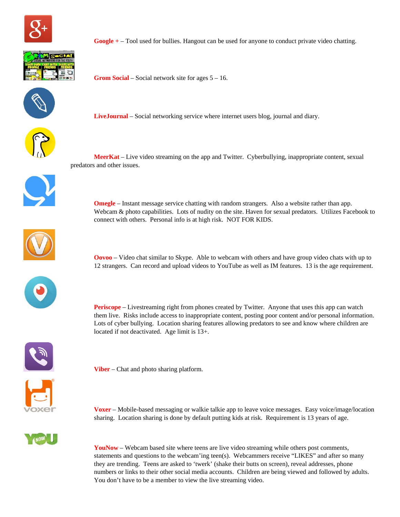



**Google +** – Tool used for bullies. Hangout can be used for anyone to conduct private video chatting.

**Grom Social** – Social network site for ages 5 – 16.



**LiveJournal** – Social networking service where internet users blog, journal and diary.



 **MeerKat** – Live video streaming on the app and Twitter. Cyberbullying, inappropriate content, sexual predators and other issues.

**Omegle** – Instant message service chatting with random strangers. Also a website rather than app.

connect with others. Personal info is at high risk. NOT FOR KIDS.





**Oovoo** – Video chat similar to Skype. Able to webcam with others and have group video chats with up to 12 strangers. Can record and upload videos to YouTube as well as IM features. 13 is the age requirement.

Webcam & photo capabilities. Lots of nudity on the site. Haven for sexual predators. Utilizes Facebook to

**Periscope** – Livestreaming right from phones created by Twitter. Anyone that uses this app can watch them live. Risks include access to inappropriate content, posting poor content and/or personal information. Lots of cyber bullying. Location sharing features allowing predators to see and know where children are located if not deactivated. Age limit is 13+.



**Viber** – Chat and photo sharing platform.

**Voxer** – Mobile-based messaging or walkie talkie app to leave voice messages. Easy voice/image/location sharing. Location sharing is done by default putting kids at risk. Requirement is 13 years of age.

YouNow – Webcam based site where teens are live video streaming while others post comments, statements and questions to the webcam'ing teen(s). Webcammers receive "LIKES" and after so many they are trending. Teens are asked to 'twerk' (shake their butts on screen), reveal addresses, phone numbers or links to their other social media accounts. Children are being viewed and followed by adults. You don't have to be a member to view the live streaming video.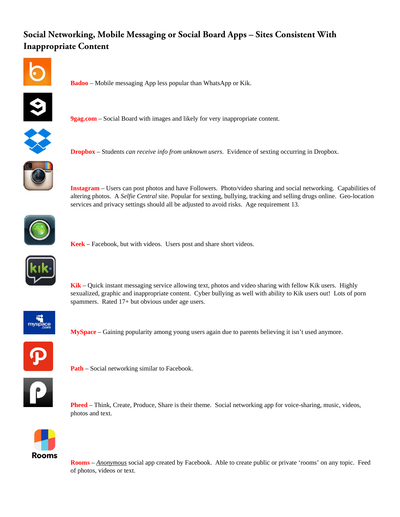# **Social Networking, Mobile Messaging or Social Board Apps – Sites Consistent With Inappropriate Content**



**Badoo** – Mobile messaging App less popular than WhatsApp or Kik.



**9gag.com** – Social Board with images and likely for very inappropriate content.



**Dropbox** – Students *can receive info from unknown users*. Evidence of sexting occurring in Dropbox.



**Instagram** – Users can post photos and have Followers. Photo/video sharing and social networking. Capabilities of altering photos. A *Selfie Central* site. Popular for sexting, bullying, tracking and selling drugs online. Geo-location services and privacy settings should all be adjusted to avoid risks. Age requirement 13.



**Keek** – Facebook, but with videos. Users post and share short videos.



**Kik** – Quick instant messaging service allowing text, photos and video sharing with fellow Kik users. Highly sexualized, graphic and inappropriate content. Cyber bullying as well with ability to Kik users out! Lots of porn spammers. Rated 17+ but obvious under age users.



**MySpace** – Gaining popularity among young users again due to parents believing it isn't used anymore.



**Path** – Social networking similar to Facebook.



**Pheed** – Think, Create, Produce, Share is their theme. Social networking app for voice-sharing, music, videos, photos and text.



**Rooms** – *Anonymous* social app created by Facebook. Able to create public or private 'rooms' on any topic. Feed of photos, videos or text.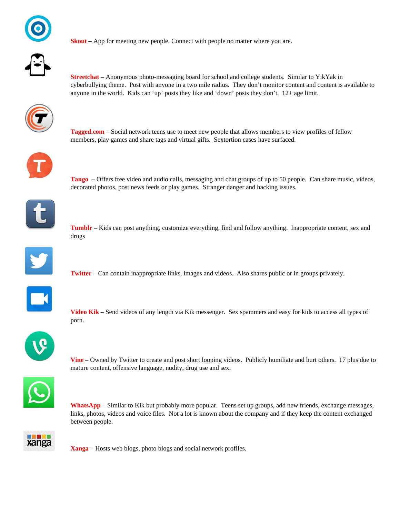



**Skout** – App for meeting new people. Connect with people no matter where you are.

**Streetchat** – Anonymous photo-messaging board for school and college students. Similar to YikYak in cyberbullying theme. Post with anyone in a two mile radius. They don't monitor content and content is available to anyone in the world. Kids can 'up' posts they like and 'down' posts they don't. 12+ age limit.



**Tagged.com** – Social network teens use to meet new people that allows members to view profiles of fellow members, play games and share tags and virtual gifts. Sextortion cases have surfaced.

**Tango** – Offers free video and audio calls, messaging and chat groups of up to 50 people. Can share music, videos, decorated photos, post news feeds or play games. Stranger danger and hacking issues.



**Tumblr** – Kids can post anything, customize everything, find and follow anything. Inappropriate content, sex and drugs



**Twitter** – Can contain inappropriate links, images and videos. Also shares public or in groups privately.



**Video Kik** – Send videos of any length via Kik messenger. Sex spammers and easy for kids to access all types of porn.



**Vine** – Owned by Twitter to create and post short looping videos. Publicly humiliate and hurt others. 17 plus due to mature content, offensive language, nudity, drug use and sex.



**WhatsApp** – Similar to Kik but probably more popular. Teens set up groups, add new friends, exchange messages, links, photos, videos and voice files. Not a lot is known about the company and if they keep the content exchanged between people.



**Xanga** – Hosts web blogs, photo blogs and social network profiles.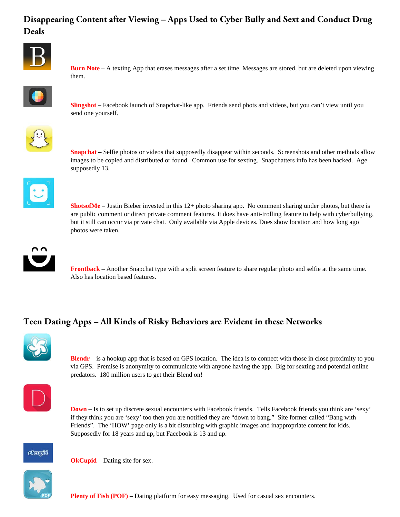# **Disappearing Content after Viewing – Apps Used to Cyber Bully and Sext and Conduct Drug Deals**



**Burn Note** – A texting App that erases messages after a set time. Messages are stored, but are deleted upon viewing them.



**Slingshot** – Facebook launch of Snapchat-like app. Friends send phots and videos, but you can't view until you send one yourself.



**Snapchat** – Selfie photos or videos that supposedly disappear within seconds. Screenshots and other methods allow images to be copied and distributed or found. Common use for sexting. Snapchatters info has been hacked. Age supposedly 13.



**ShotsofMe** – Justin Bieber invested in this 12+ photo sharing app. No comment sharing under photos, but there is are public comment or direct private comment features. It does have anti-trolling feature to help with cyberbullying, but it still can occur via private chat. Only available via Apple devices. Does show location and how long ago photos were taken.



**Frontback** – Another Snapchat type with a split screen feature to share regular photo and selfie at the same time. Also has location based features.

# **Teen Dating Apps – All Kinds of Risky Behaviors are Evident in these Networks**



**Blendr** – is a hookup app that is based on GPS location. The idea is to connect with those in close proximity to you via GPS. Premise is anonymity to communicate with anyone having the app. Big for sexting and potential online predators. 180 million users to get their Blend on!



**Down** – Is to set up discrete sexual encounters with Facebook friends. Tells Facebook friends you think are 'sexy' if they think you are 'sexy' too then you are notified they are "down to bang." Site former called "Bang with Friends". The 'HOW' page only is a bit disturbing with graphic images and inappropriate content for kids. Supposedly for 18 years and up, but Facebook is 13 and up.



**OkCupid** – Dating site for sex.

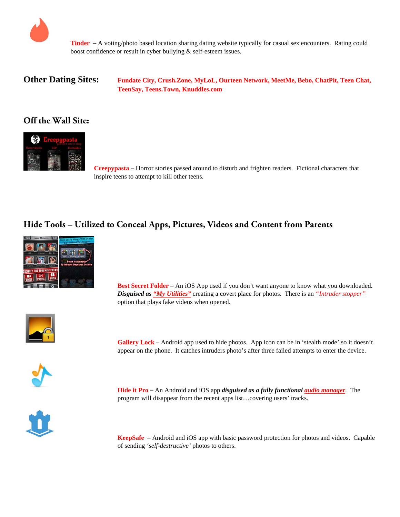

**Tinder** – A voting/photo based location sharing dating website typically for casual sex encounters. Rating could boost confidence or result in cyber bullying & self-esteem issues.

**Other Dating Sites: Fundate City, Crush.Zone, MyLoL, Ourteen Network, MeetMe, Bebo, ChatPit, Teen Chat, TeenSay, Teens.Town, Knuddles.com** 

#### **Off the Wall Site:**



 **Creepypasta** – Horror stories passed around to disturb and frighten readers. Fictional characters that inspire teens to attempt to kill other teens.

### **Hide Tools – Utilized to Conceal Apps, Pictures, Videos and Content from Parents**



 **Best Secret Folder** – An iOS App used if you don't want anyone to know what you downloaded**.**  *Disguised as "My Utilities"* creating a covert place for photos. There is an *"Intruder stopper"* option that plays fake videos when opened.



Gallery **Lock** – Android app used to hide photos. App icon can be in 'stealth mode' so it doesn't appear on the phone. It catches intruders photo's after three failed attempts to enter the device.

**Hide it Pro** – An Android and iOS app *disguised as a fully functional audio manager*. The program will disappear from the recent apps list…covering users' tracks.



 **KeepSafe** – Android and iOS app with basic password protection for photos and videos. Capable of sending *'self-destructive'* photos to others.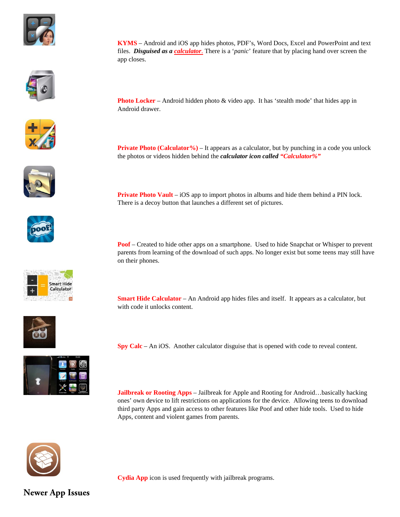







**Smart Hide** Calculator

on their phones.



**Poof** – Created to hide other apps on a smartphone. Used to hide Snapchat or Whisper to prevent parents from learning of the download of such apps. No longer exist but some teens may still have



**Spy Calc** – An iOS. Another calculator disguise that is opened with code to reveal content.

**Jailbreak or Rooting Apps** – Jailbreak for Apple and Rooting for Android…basically hacking ones' own device to lift restrictions on applications for the device. Allowing teens to download third party Apps and gain access to other features like Poof and other hide tools. Used to hide Apps, content and violent games from parents.



**Cydia App** icon is used frequently with jailbreak programs.

**Newer App Issues**

**KYMS** – Android and iOS app hides photos, PDF's, Word Docs, Excel and PowerPoint and text files. *Disguised as a calculator*. There is a '*panic*' feature that by placing hand over screen the app closes.

**Photo Locker** – Android hidden photo & video app. It has 'stealth mode' that hides app in Android drawer.

**Private Photo (Calculator%)** – It appears as a calculator, but by punching in a code you unlock the photos or videos hidden behind the *calculator icon called "Calculator%"*

**Private Photo Vault** – iOS app to import photos in albums and hide them behind a PIN lock. There is a decoy button that launches a different set of pictures.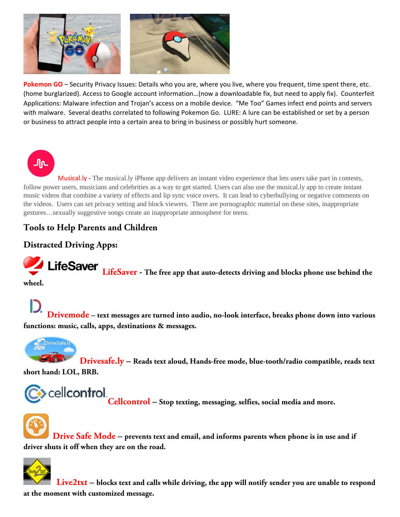

Pokemon GO – Security Privacy Issues: Details who you are, where you live, where you frequent, time spent there, etc. (home burglarized). Access to Google account information…(now a downloadable fix, but need to apply fix). Counterfeit Applications: Malware infection and Trojan's access on a mobile device. "Me Too" Games infect end points and servers with malware. Several deaths correlated to following Pokemon Go. LURE: A lure can be established or set by a person or business to attract people into a certain area to bring in business or possibly hurt someone.

Musical.ly - The musical.ly iPhone app delivers an instant video experience that lets users take part in contests, follow power users, musicians and celebrities as a way to get started. Users can also use the musical.ly app to create instant music videos that combine a variety of effects and lip sync voice overs. It can lead to cyberbullying or negative comments on the videos. Users can set privacy setting and block viewers. There are pornographic material on these sites, inappropriate gestures…sexually suggestive songs create an inappropriate atmosphere for teens.

# **Tools to Help Parents and Children**

# **Distracted Driving Apps:**

**LifeSaver** LifeSaver - The free app that auto-detects driving and blocks phone use behind the **wheel.** 

ிட

**Drivemode – text messages are turned into audio, no-look interface, breaks phone down into various functions: music, calls, apps, destinations & messages.** 



**Drivesafe.ly – Reads text aloud, Hands-free mode, blue-tooth/radio compatible, reads text short hand: LOL, BRB.** 



 $\bullet$  Cell**control**<br>Cellcontrol – Stop texting, messaging, selfies, social media and more.



 **Drive Safe Mode – prevents text and email, and informs parents when phone is in use and if driver shuts it off when they are on the road.** 



 **Live2txt – blocks text and calls while driving, the app will notify sender you are unable to respond at the moment with customized message.**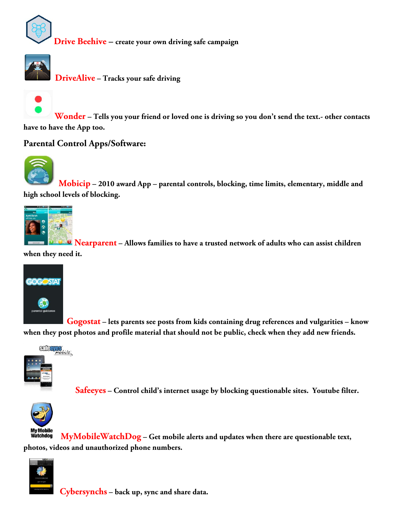

**Drive Beehive – create your own driving safe campaign** 



**DriveAlive – Tracks your safe driving** 



**Wonder – Tells you your friend or loved one is driving so you don't send the text.- other contacts have to have the App too.** 

**Parental Control Apps/Software:** 



 **Mobicip – 2010 award App – parental controls, blocking, time limits, elementary, middle and high school levels of blocking.** 



**Nearparent – Allows families to have a trusted network of adults who can assist children when they need it.** 



 **Gogostat – lets parents see posts from kids containing drug references and vulgarities – know when they post photos and profile material that should not be public, check when they add new friends.** 



**Safeeyes – Control child's internet usage by blocking questionable sites. Youtube filter.** 



**MyMobileWatchDog – Get mobile alerts and updates when there are questionable text, photos, videos and unauthorized phone numbers.** 



**Cybersynchs – back up, sync and share data.**